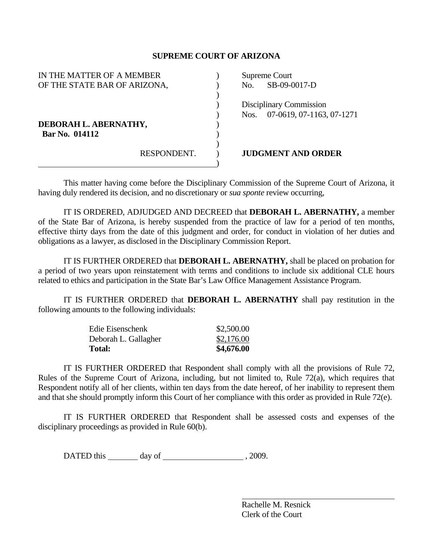## **SUPREME COURT OF ARIZONA**

| IN THE MATTER OF A MEMBER    | Supreme Court                     |
|------------------------------|-----------------------------------|
| OF THE STATE BAR OF ARIZONA, | SB-09-0017-D<br>No.               |
|                              |                                   |
|                              | Disciplinary Commission           |
|                              | 07-0619, 07-1163, 07-1271<br>Nos. |
| DEBORAH L. ABERNATHY,        |                                   |
| Bar No. 014112               |                                   |
|                              |                                   |
| RESPONDENT.                  | <b>JUDGMENT AND ORDER</b>         |
|                              |                                   |

 This matter having come before the Disciplinary Commission of the Supreme Court of Arizona, it having duly rendered its decision, and no discretionary or *sua sponte* review occurring,

 IT IS ORDERED, ADJUDGED AND DECREED that **DEBORAH L. ABERNATHY,** a member of the State Bar of Arizona, is hereby suspended from the practice of law for a period of ten months, effective thirty days from the date of this judgment and order, for conduct in violation of her duties and obligations as a lawyer, as disclosed in the Disciplinary Commission Report.

 IT IS FURTHER ORDERED that **DEBORAH L. ABERNATHY,** shall be placed on probation for a period of two years upon reinstatement with terms and conditions to include six additional CLE hours related to ethics and participation in the State Bar's Law Office Management Assistance Program.

 IT IS FURTHER ORDERED that **DEBORAH L. ABERNATHY** shall pay restitution in the following amounts to the following individuals:

| Edie Eisenschenk     | \$2,500.00 |
|----------------------|------------|
| Deborah L. Gallagher | \$2,176.00 |
| <b>Total:</b>        | \$4,676.00 |

 IT IS FURTHER ORDERED that Respondent shall comply with all the provisions of Rule 72, Rules of the Supreme Court of Arizona, including, but not limited to, Rule 72(a), which requires that Respondent notify all of her clients, within ten days from the date hereof, of her inability to represent them and that she should promptly inform this Court of her compliance with this order as provided in Rule 72(e).

 IT IS FURTHER ORDERED that Respondent shall be assessed costs and expenses of the disciplinary proceedings as provided in Rule 60(b).

DATED this day of  $\qquad \qquad$  , 2009.

 Rachelle M. Resnick Clerk of the Court